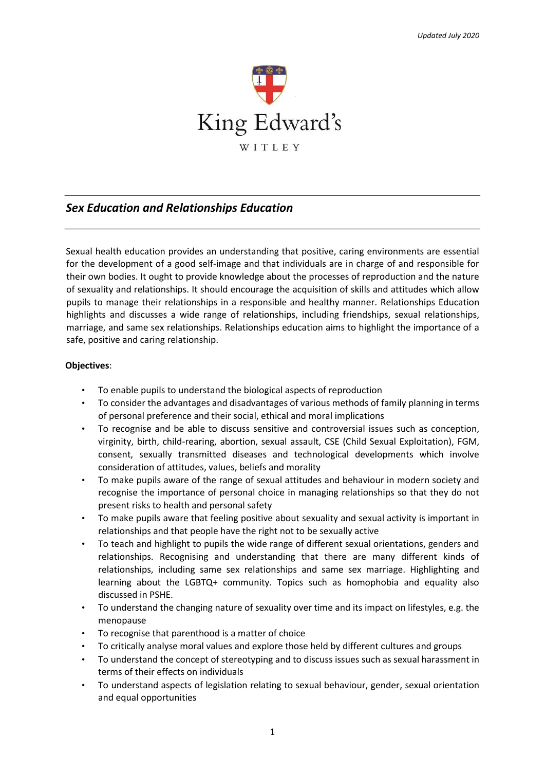

# *Sex Education and Relationships Education*

Sexual health education provides an understanding that positive, caring environments are essential for the development of a good self-image and that individuals are in charge of and responsible for their own bodies. It ought to provide knowledge about the processes of reproduction and the nature of sexuality and relationships. It should encourage the acquisition of skills and attitudes which allow pupils to manage their relationships in a responsible and healthy manner. Relationships Education highlights and discusses a wide range of relationships, including friendships, sexual relationships, marriage, and same sex relationships. Relationships education aims to highlight the importance of a safe, positive and caring relationship.

#### **Objectives**:

- To enable pupils to understand the biological aspects of reproduction
- To consider the advantages and disadvantages of various methods of family planning in terms of personal preference and their social, ethical and moral implications
- To recognise and be able to discuss sensitive and controversial issues such as conception, virginity, birth, child-rearing, abortion, sexual assault, CSE (Child Sexual Exploitation), FGM, consent, sexually transmitted diseases and technological developments which involve consideration of attitudes, values, beliefs and morality
- To make pupils aware of the range of sexual attitudes and behaviour in modern society and recognise the importance of personal choice in managing relationships so that they do not present risks to health and personal safety
- To make pupils aware that feeling positive about sexuality and sexual activity is important in relationships and that people have the right not to be sexually active
- To teach and highlight to pupils the wide range of different sexual orientations, genders and relationships. Recognising and understanding that there are many different kinds of relationships, including same sex relationships and same sex marriage. Highlighting and learning about the LGBTQ+ community. Topics such as homophobia and equality also discussed in PSHE.
- To understand the changing nature of sexuality over time and its impact on lifestyles, e.g. the menopause
- To recognise that parenthood is a matter of choice
- To critically analyse moral values and explore those held by different cultures and groups
- To understand the concept of stereotyping and to discuss issues such as sexual harassment in terms of their effects on individuals
- To understand aspects of legislation relating to sexual behaviour, gender, sexual orientation and equal opportunities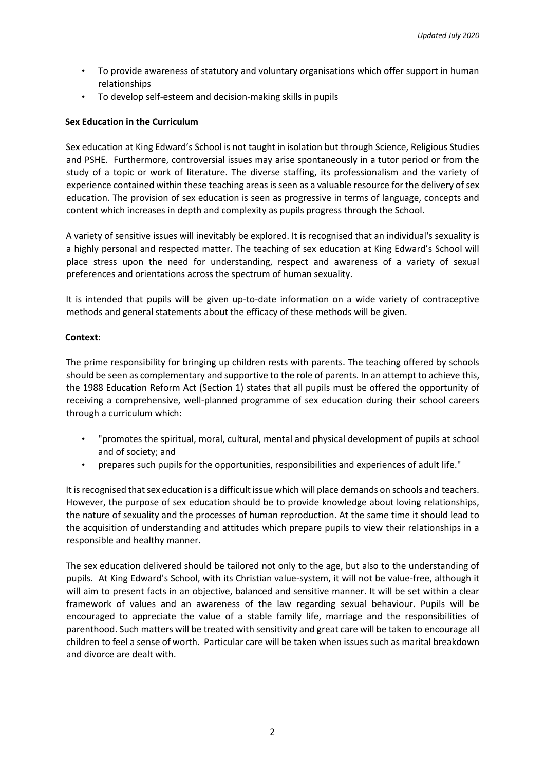- To provide awareness of statutory and voluntary organisations which offer support in human relationships
- To develop self-esteem and decision-making skills in pupils

#### **Sex Education in the Curriculum**

Sex education at King Edward's School is not taught in isolation but through Science, Religious Studies and PSHE. Furthermore, controversial issues may arise spontaneously in a tutor period or from the study of a topic or work of literature. The diverse staffing, its professionalism and the variety of experience contained within these teaching areas is seen as a valuable resource for the delivery of sex education. The provision of sex education is seen as progressive in terms of language, concepts and content which increases in depth and complexity as pupils progress through the School.

A variety of sensitive issues will inevitably be explored. It is recognised that an individual's sexuality is a highly personal and respected matter. The teaching of sex education at King Edward's School will place stress upon the need for understanding, respect and awareness of a variety of sexual preferences and orientations across the spectrum of human sexuality.

It is intended that pupils will be given up-to-date information on a wide variety of contraceptive methods and general statements about the efficacy of these methods will be given.

#### **Context**:

The prime responsibility for bringing up children rests with parents. The teaching offered by schools should be seen as complementary and supportive to the role of parents. In an attempt to achieve this, the 1988 Education Reform Act (Section 1) states that all pupils must be offered the opportunity of receiving a comprehensive, well-planned programme of sex education during their school careers through a curriculum which:

- "promotes the spiritual, moral, cultural, mental and physical development of pupils at school and of society; and
- prepares such pupils for the opportunities, responsibilities and experiences of adult life."

It is recognised that sex education is a difficult issue which will place demands on schools and teachers. However, the purpose of sex education should be to provide knowledge about loving relationships, the nature of sexuality and the processes of human reproduction. At the same time it should lead to the acquisition of understanding and attitudes which prepare pupils to view their relationships in a responsible and healthy manner.

The sex education delivered should be tailored not only to the age, but also to the understanding of pupils. At King Edward's School, with its Christian value-system, it will not be value-free, although it will aim to present facts in an objective, balanced and sensitive manner. It will be set within a clear framework of values and an awareness of the law regarding sexual behaviour. Pupils will be encouraged to appreciate the value of a stable family life, marriage and the responsibilities of parenthood. Such matters will be treated with sensitivity and great care will be taken to encourage all children to feel a sense of worth. Particular care will be taken when issues such as marital breakdown and divorce are dealt with.